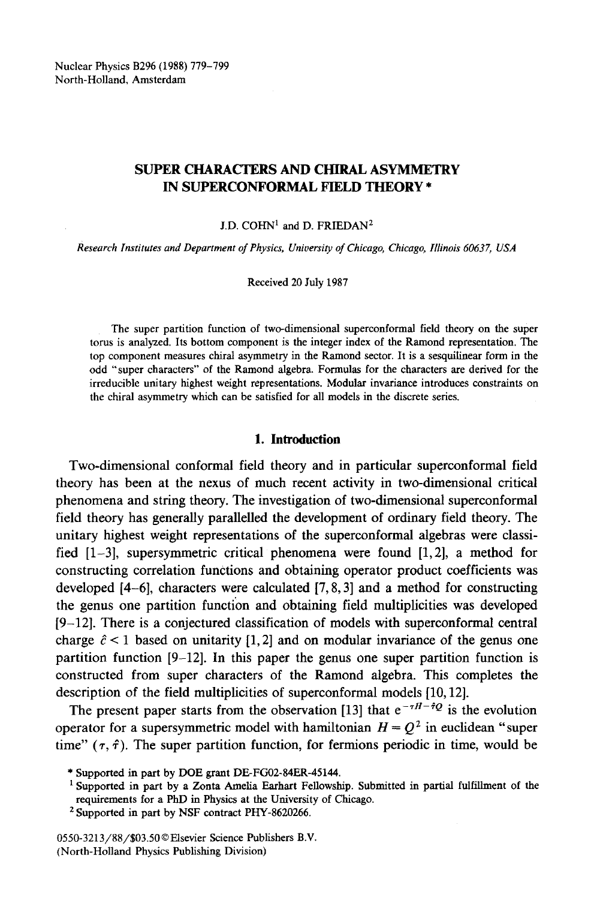Nuclear Physics B296 (1988) 779-799 North-Holland, Amsterdam

# SUPER CHARACTERS AND CHIRAL ASYMMETRY **IN SUPERCONFORMAL FIELD THEORY \***

# $J.D.$  COHN<sup>1</sup> and D. FRIEDAN<sup>2</sup>

*Research Institutes and Department of Physics, University of Chicago, Chicago, Illinois 60637, USA* 

Received 20 July 1987

The super partition function of two-dimensional superconformal field theory on the super torus is analyzed. Its bottom component is the integer index of the Ramond representation. The top component measures chiral asymmetry in the Ramond sector. It is a sesquilinear form in the odd "super characters" of the Ramond algebra. Formulas for the characters are derived for the irreducible unitary highest weight representations. Modular invariance introduces constraints on the chiral asymmetry which can be satisfied for all models in the discrete series.

# **1. Introduction**

Two-dimensional conformal field theory and in particular superconformal field theory has been at the nexus of much recent activity in two-dimensional critical phenomena and string theory. The investigation of two-dimensional superconformal field theory has generally parallelled the development of ordinary field theory. The unitary highest weight representations of the superconformal algebras were classified [1-3], supersymmetric critical phenomena were found [1,2], a method for constructing correlation functions and obtaining operator product coefficients was developed [4-6], characters were calculated [7, 8, 3] and a method for constructing the genus one partition function and obtaining field multiplicities was developed [9-12]. There is a conjectured classification of models with superconformal central charge  $\hat{c}$  < 1 based on unitarity [1, 2] and on modular invariance of the genus one partition function [9-12]. In this paper the genus one super partition function is constructed from super characters of the Ramond algebra. This completes the description of the field multiplicities of superconformal models [10,12].

The present paper starts from the observation [13] that  $e^{-\tau H - \hat{\tau}Q}$  is the evolution operator for a supersymmetric model with hamiltonian  $H = Q^2$  in euclidean "super time" ( $\tau$ ,  $\hat{\tau}$ ). The super partition function, for fermions periodic in time, would be

0550-3213/88/\$03.50©Elsevier Science Publishers B.V. (North-Holland Physics Publishing Division)

<sup>\*</sup> Supported in part by DOE grant DE-FG02-84ER-45144.

<sup>1</sup> Supported in part by a Zonta Amelia Earhart Fellowship. Submitted in partial fulfillment of the requirements for a PhD in Physics at the University of Chicago.

<sup>2</sup> Supported in part by NSF contract PHY-8620266.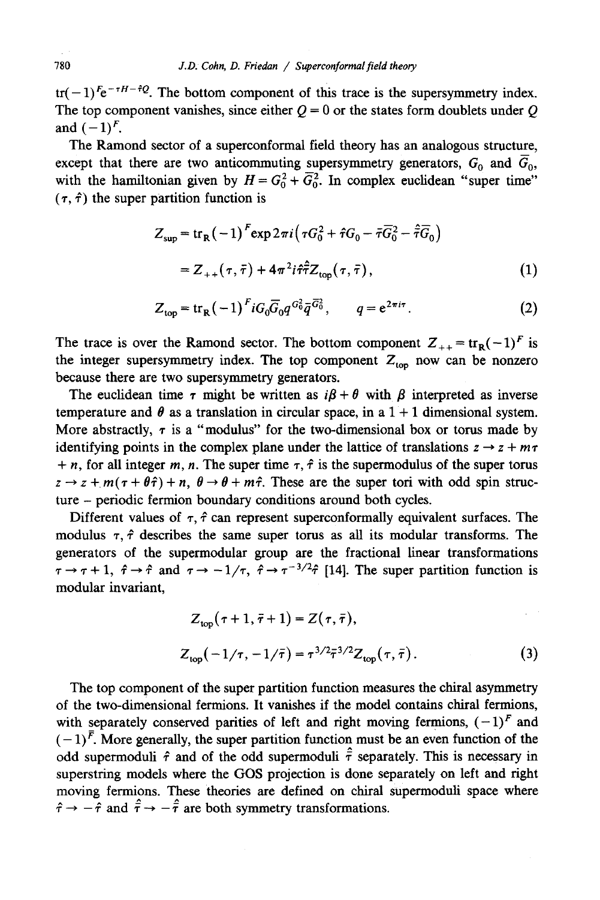tr(-1)<sup> $F_{\rm e}$ - $H$ - $\dot{\theta}$ . The bottom component of this trace is the supersymmetry index.</sup> The top component vanishes, since either  $Q = 0$  or the states form doublets under Q and  $(-1)^F$ .

The Ramond sector of a superconformal field theory has an analogous structure, except that there are two anticommuting supersymmetry generators,  $G_0$  and  $G_0$ , with the hamiltonian given by  $H = G_0^2 + G_0^2$ . In complex euclidean "super time"  $(\tau, \hat{\tau})$  the super partition function is

$$
Z_{\text{sup}} = \text{tr}_{\text{R}}(-1)^{F} \exp 2\pi i (\tau G_{0}^{2} + \hat{\tau}G_{0} - \bar{\tau}\bar{G}_{0}^{2} - \hat{\tau}\bar{G}_{0})
$$
  
= Z<sub>++</sub>(\tau, \bar{\tau}) + 4\pi^{2} i \hat{\tau}\hat{\tau} Z\_{\text{top}}(\tau, \bar{\tau}), (1)

$$
Z_{\text{top}} = \text{tr}_{R}(-1)^{F} i G_{0} \overline{G}_{0} q^{G_{0}^{2}} \overline{q}^{\overline{G}_{0}^{2}}, \qquad q = e^{2\pi i \tau}. \tag{2}
$$

The trace is over the Ramond sector. The bottom component  $Z_{++} = \text{tr}_R(-1)^F$  is the integer supersymmetry index. The top component  $Z_{\text{top}}$  now can be nonzero because there are two supersymmetry generators.

The euclidean time  $\tau$  might be written as  $i\beta + \theta$  with  $\beta$  interpreted as inverse temperature and  $\theta$  as a translation in circular space, in a  $1 + 1$  dimensional system. More abstractly,  $\tau$  is a "modulus" for the two-dimensional box or torus made by identifying points in the complex plane under the lattice of translations  $z \rightarrow z + m\tau$ + n, for all integer m, n. The super time  $\tau$ ,  $\hat{\tau}$  is the supermodulus of the super torus  $z \rightarrow z + m(\tau + \theta \hat{\tau}) + n$ ,  $\theta \rightarrow \theta + m\hat{\tau}$ . These are the super tori with odd spin structure - periodic fermion boundary conditions around both cycles.

Different values of  $\tau$ ,  $\hat{\tau}$  can represent superconformally equivalent surfaces. The modulus  $\tau$ ,  $\hat{\tau}$  describes the same super torus as all its modular transforms. The generators of the supermodular group are the fractional linear transformations  $\tau \to \tau + 1$ ,  $\hat{\tau} \to \hat{\tau}$  and  $\tau \to -1/\tau$ ,  $\hat{\tau} \to \tau^{-3/2} \hat{\tau}$  [14]. The super partition function is modular invariant,

$$
Z_{\text{top}}(\tau+1, \bar{\tau}+1) = Z(\tau, \bar{\tau}),
$$
  
\n
$$
Z_{\text{top}}(-1/\tau, -1/\bar{\tau}) = \tau^{3/2} \bar{\tau}^{3/2} Z_{\text{top}}(\tau, \bar{\tau}).
$$
\n(3)

The top component of the super partition function measures the chiral asymmetry of the two-dimensional fermions. It vanishes if the model contains chiral fermions, with separately conserved parities of left and right moving fermions,  $(-1)^F$  and  $(-1)^{\overline{F}}$ . More generally, the super partition function must be an even function of the odd supermoduli  $\hat{\tau}$  and of the odd supermoduli  $\hat{\tau}$  separately. This is necessary in superstring models where the GOS projection is done separately on left and right moving fermions. These theories are defined on chiral supermoduli space where  $\hat{\tau} \rightarrow -\hat{\tau}$  and  $\hat{\tau} \rightarrow -\hat{\tau}$  are both symmetry transformations.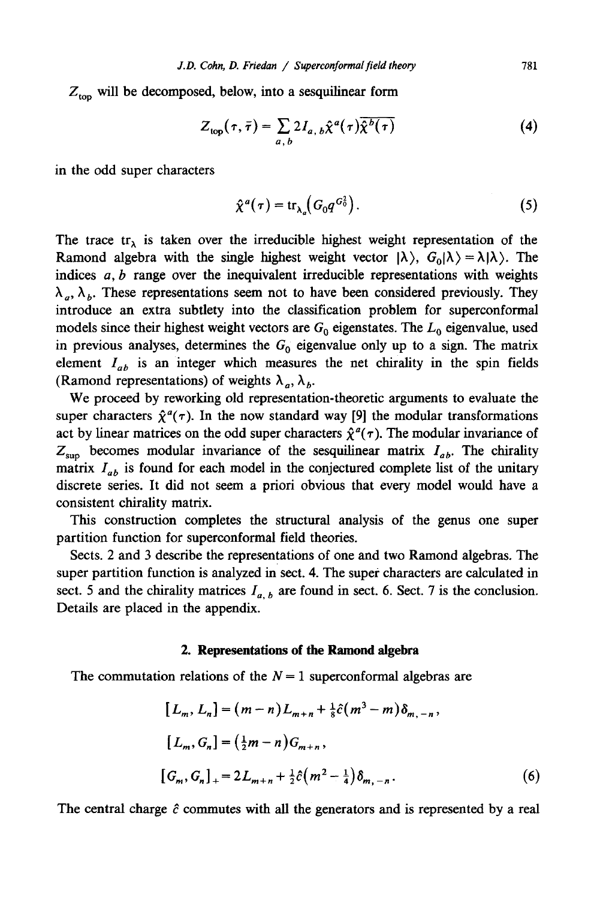$Z_{\text{top}}$  will be decomposed, below, into a sesquilinear form

$$
Z_{\text{top}}(\tau,\bar{\tau}) = \sum_{a,\,b} 2I_{a,\,b}\hat{\chi}^a(\tau)\overline{\hat{\chi}^b(\tau)}
$$
(4)

in the odd super characters

$$
\hat{\chi}^a(\tau) = \text{tr}_{\lambda_a} \big( G_0 q^{G_0^2} \big). \tag{5}
$$

The trace tr<sub> $\lambda$ </sub> is taken over the irreducible highest weight representation of the Ramond algebra with the single highest weight vector  $|\lambda\rangle$ ,  $G_0|\lambda\rangle = \lambda |\lambda\rangle$ . The indices  $a, b$  range over the inequivalent irreducible representations with weights  $\lambda_a$ ,  $\lambda_b$ . These representations seem not to have been considered previously. They introduce an extra subtlety into the classification problem for superconformal models since their highest weight vectors are  $G_0$  eigenstates. The  $L_0$  eigenvalue, used in previous analyses, determines the  $G_0$  eigenvalue only up to a sign. The matrix element  $I_{ab}$  is an integer which measures the net chirality in the spin fields (Ramond representations) of weights  $\lambda_a$ ,  $\lambda_b$ .

We proceed by reworking old representation-theoretic arguments to evaluate the super characters  $\hat{\chi}^a(\tau)$ . In the now standard way [9] the modular transformations act by linear matrices on the odd super characters  $\hat{\chi}^a(\tau)$ . The modular invariance of  $Z_{\text{sup}}$  becomes modular invariance of the sesquilinear matrix  $I_{ab}$ . The chirality matrix  $I_{ab}$  is found for each model in the conjectured complete list of the unitary discrete series. It did not seem a priori obvious that every model would have a consistent chirality matrix.

This construction completes the structural analysis of the genus one super partition function for superconformal field theories.

Sects. 2 and 3 describe the representations of one and two Ramond algebras, The super partition function is analyzed in sect. 4. The super characters are calculated in sect. 5 and the chirality matrices  $I_{a,b}$  are found in sect. 6. Sect. 7 is the conclusion. Details are placed in the appendix.

## **2. Representations of the Ramond algebra**

The commutation relations of the  $N = 1$  superconformal algebras are

$$
[L_m, L_n] = (m-n)L_{m+n} + \frac{1}{8}\hat{c}(m^3 - m)\delta_{m,-n},
$$
  
\n
$$
[L_m, G_n] = (\frac{1}{2}m - n)G_{m+n},
$$
  
\n
$$
[G_m, G_n]_+ = 2L_{m+n} + \frac{1}{2}\hat{c}(m^2 - \frac{1}{4})\delta_{m,-n}.
$$
\n(6)

The central charge  $\hat{c}$  commutes with all the generators and is represented by a real

781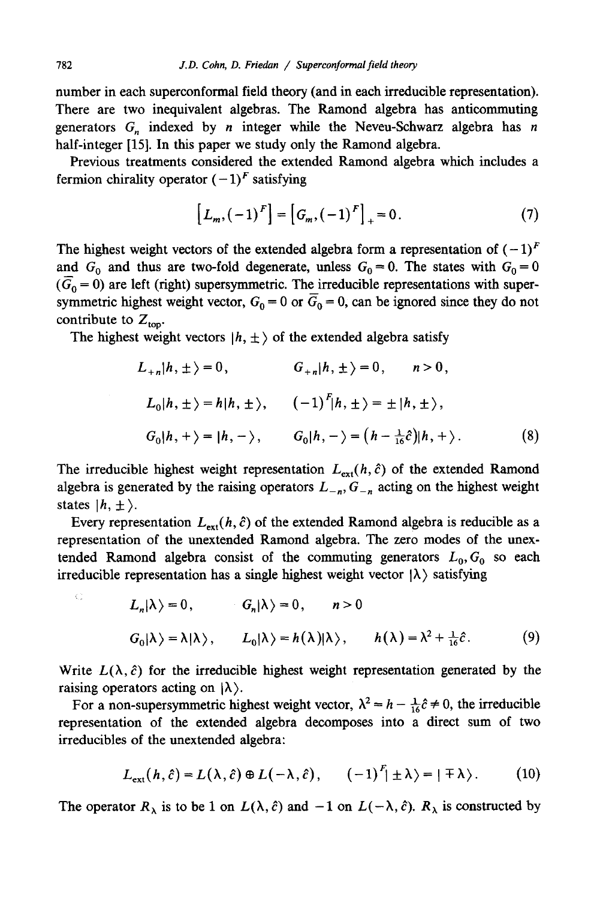number in each superconformal field theory (and in each irreducible representation). There are two inequivalent algebras. The Ramond algebra has anticommuting generators  $G_n$  indexed by *n* integer while the Neveu-Schwarz algebra has *n* half-integer [15]. In this paper we study only the Ramond algebra.

Previous treatments considered the extended Ramond algebra which includes a fermion chirality operator  $(-1)^F$  satisfying

$$
[L_m, (-1)^F] = [G_m, (-1)^F]_+ = 0.
$$
 (7)

The highest weight vectors of the extended algebra form a representation of  $(-1)^F$ and  $G_0$  and thus are two-fold degenerate, unless  $G_0 = 0$ . The states with  $G_0 = 0$  $(\bar{G}_0 = 0)$  are left (right) supersymmetric. The irreducible representations with supersymmetric highest weight vector,  $G_0 = 0$  or  $\overline{G}_0 = 0$ , can be ignored since they do not contribute to  $Z_{\text{top}}$ .

The highest weight vectors  $|h, \pm \rangle$  of the extended algebra satisfy

$$
L_{+n}|h, \pm \rangle = 0, \t G_{+n}|h, \pm \rangle = 0, \t n > 0,
$$
  

$$
L_{0}|h, \pm \rangle = h|h, \pm \rangle, \t (-1)^{F}|h, \pm \rangle = \pm |h, \pm \rangle,
$$
  

$$
G_{0}|h, + \rangle = |h, -\rangle, \t G_{0}|h, -\rangle = (h - \frac{1}{16}\hat{c})|h, +\rangle.
$$
 (8)

The irreducible highest weight representation  $L_{ext}(h, \hat{c})$  of the extended Ramond algebra is generated by the raising operators  $L_{-n}$ ,  $G_{-n}$  acting on the highest weight states  $|h, \pm \rangle$ .

Every representation  $L_{ext}(h, \hat{c})$  of the extended Ramond algebra is reducible as a representation of the unextended Ramond algebra. The zero modes of the unextended Ramond algebra consist of the commuting generators  $L_0$ ,  $G_0$  so each irreducible representation has a single highest weight vector  $|\lambda\rangle$  satisfying

$$
L_n|\lambda\rangle = 0, \t G_n|\lambda\rangle = 0, \t n > 0
$$
  

$$
G_0|\lambda\rangle = \lambda|\lambda\rangle, \t L_0|\lambda\rangle = h(\lambda)|\lambda\rangle, \t h(\lambda) = \lambda^2 + \frac{1}{16}\hat{c}.
$$
 (9)

Write  $L(\lambda, \hat{c})$  for the irreducible highest weight representation generated by the raising operators acting on  $|\lambda\rangle$ .

For a non-supersymmetric highest weight vector,  $\lambda^2 = h - \frac{1}{16} \hat{c} \neq 0$ , the irreducible representation of the extended algebra decomposes into a direct sum of two irreducibles of the unextended algebra:

$$
L_{\text{ext}}(h,\hat{c}) = L(\lambda,\hat{c}) \oplus L(-\lambda,\hat{c}), \qquad (-1)^F | \pm \lambda \rangle = | \mp \lambda \rangle. \tag{10}
$$

The operator  $R_{\lambda}$  is to be 1 on  $L(\lambda, \hat{c})$  and  $-1$  on  $L(-\lambda, \hat{c})$ .  $R_{\lambda}$  is constructed by

Ċ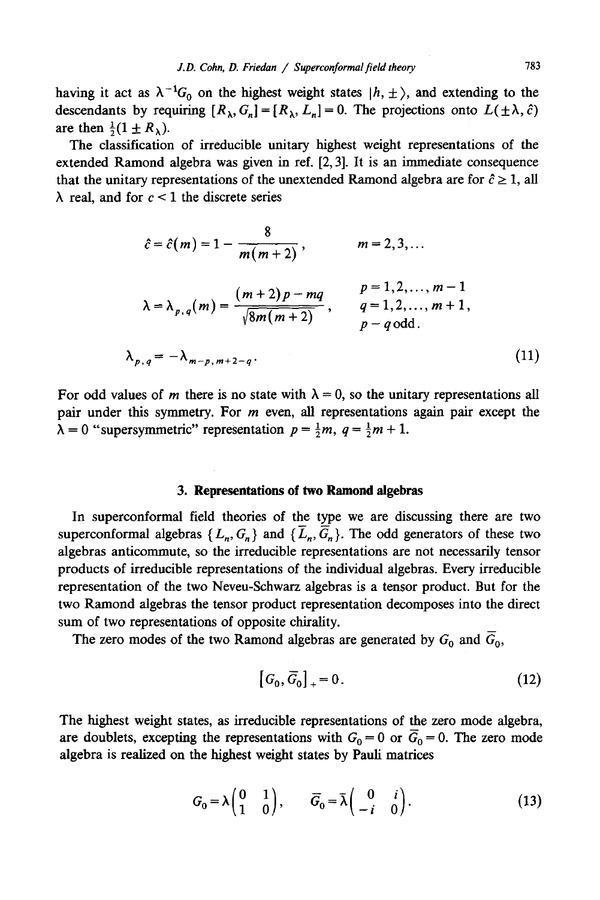having it act as  $\lambda^{-1}G_0$  on the highest weight states  $|h, \pm \rangle$ , and extending to the descendants by requiring  $[R_{\lambda}, G_{n}] = [R_{\lambda}, L_{n}] = 0$ . The projections onto  $L(\pm \lambda, \hat{c})$ are then  $\frac{1}{2}(1 \pm R_{\lambda})$ .

The classification of irreducible unitary highest weight representations of the extended Ramond algebra was given in ref. [2, 3]. It is an immediate consequence that the unitary representations of the unextended Ramond algebra are for  $\hat{c} \geq 1$ , all  $\lambda$  real, and for  $c < 1$  the discrete series

$$
\hat{c} = \hat{c}(m) = 1 - \frac{8}{m(m+2)}, \qquad m = 2, 3, ...
$$
  

$$
\lambda = \lambda_{p,q}(m) = \frac{(m+2)p - mq}{\sqrt{8m(m+2)}}, \qquad \begin{array}{l} p = 1, 2, ..., m-1 \\ q = 1, 2, ..., m+1, \\ p - q \text{ odd.} \end{array}
$$
  

$$
\lambda_{p,q} = -\lambda_{m-p,m+2-q}.
$$
 (11)

For odd values of m there is no state with  $\lambda = 0$ , so the unitary representations all pair under this symmetry. For m even, all representations again pair except the  $\lambda = 0$  "supersymmetric" representation  $p = \frac{1}{2}m$ ,  $q = \frac{1}{2}m + 1$ .

#### **3. Representations of two Ramond algebras**

In superconformal field theories of the type we are discussing there are two superconformal algebras  $\{L_n, G_n\}$  and  $\{\overline{L}_n, \overline{G}_n\}$ . The odd generators of these two algebras anticommute, so the irreducible representations are not necessarily tensor products of irreducible representations of the individual algebras. Every irreducible representation of the two Neveu-Schwarz algebras is a tensor product. But for the two Ramond algebras the tensor product representation decomposes into the direct sum of two representations of opposite chirality.

The zero modes of the two Ramond algebras are generated by  $G_0$  and  $\overline{G}_0$ ,

$$
[G_0, \overline{G}_0]_+ = 0. \tag{12}
$$

The highest weight states, as irreducible representations of the zero mode algebra, are doublets, excepting the representations with  $G_0 = 0$  or  $\overline{G}_0 = 0$ . The zero mode algebra is realized on the highest weight states by Pauli matrices

$$
G_0 = \lambda \begin{pmatrix} 0 & 1 \\ 1 & 0 \end{pmatrix}, \qquad \overline{G}_0 = \overline{\lambda} \begin{pmatrix} 0 & i \\ -i & 0 \end{pmatrix}.
$$
 (13)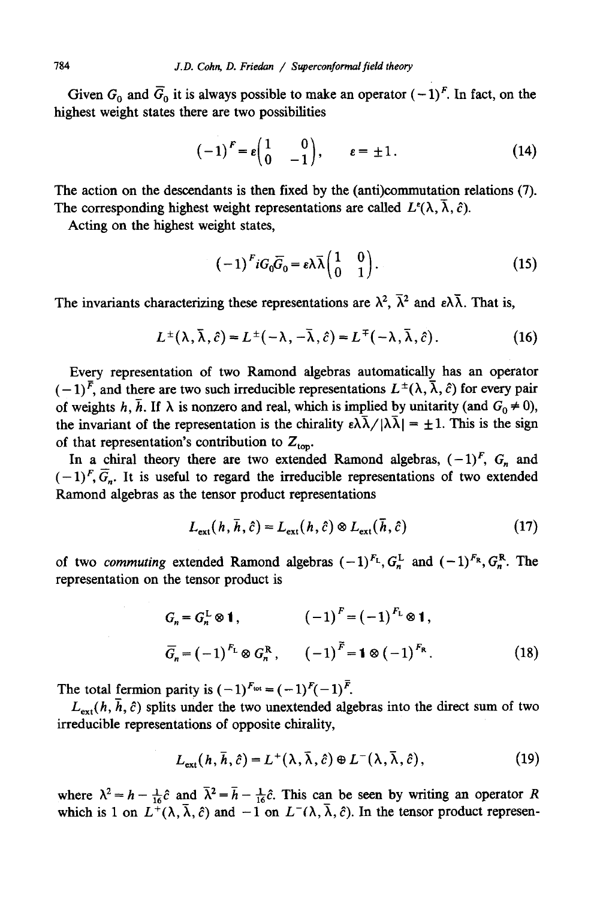Given  $G_0$  and  $\overline{G}_0$  it is always possible to make an operator  $(-1)^F$ . In fact, on the highest weight states there are two possibilities

$$
(-1)^F = \varepsilon \begin{pmatrix} 1 & 0 \\ 0 & -1 \end{pmatrix}, \qquad \varepsilon = \pm 1. \tag{14}
$$

The action on the descendants is then fixed by the (anti)commutation relations (7). The corresponding highest weight representations are called  $L^{\epsilon}(\lambda, \bar{\lambda}, \hat{c})$ .

Acting on the highest weight states,

$$
(-1)^{F} i G_0 \overline{G}_0 = \varepsilon \lambda \overline{\lambda} \begin{pmatrix} 1 & 0 \\ 0 & 1 \end{pmatrix}.
$$
 (15)

The invariants characterizing these representations are  $\lambda^2$ ,  $\bar{\lambda}^2$  and  $\epsilon \lambda \bar{\lambda}$ . That is,

$$
L^{\pm}(\lambda, \bar{\lambda}, \hat{c}) = L^{\pm}(-\lambda, -\bar{\lambda}, \hat{c}) = L^{\mp}(-\lambda, \bar{\lambda}, \hat{c}).
$$
 (16)

Every representation of two Ramond algebras automatically has an operator  $(-1)^{\overline{F}}$ , and there are two such irreducible representations  $L^{\pm}(\lambda, \overline{\lambda}, \hat{c})$  for every pair of weights h,  $\bar{h}$ . If  $\lambda$  is nonzero and real, which is implied by unitarity (and  $G_0 \neq 0$ ), the invariant of the representation is the chirality  $\epsilon \lambda \bar{\lambda}/|\lambda \bar{\lambda}| = \pm 1$ . This is the sign of that representation's contribution to  $Z_{\text{top}}$ .

In a chiral theory there are two extended Ramond algebras,  $(-1)^F$ ,  $G_n$  and  $(-1)^F$ ,  $\overline{G}_n$ . It is useful to regard the irreducible representations of two extended Ramond algebras as the tensor product representations

$$
L_{\text{ext}}(h, \bar{h}, \hat{c}) = L_{\text{ext}}(h, \hat{c}) \otimes L_{\text{ext}}(\bar{h}, \hat{c})
$$
(17)

of two *commuting* extended Ramond algebras  $(-1)^{F_L}$ ,  $G_r^L$  and  $(-1)^{F_R}$ ,  $G_r^R$ . The representation on the tensor product is

$$
G_n = G_n^{\text{L}} \otimes \mathbf{1}, \qquad (-1)^F = (-1)^{F_{\text{L}}} \otimes \mathbf{1},
$$
  

$$
\overline{G}_n = (-1)^{F_{\text{L}}} \otimes G_n^{\text{R}}, \qquad (-1)^{\overline{F}} = \mathbf{1} \otimes (-1)^{F_{\text{R}}}.
$$
 (18)

The total fermion parity is  $(-1)^{F_{\text{tot}}} = (-1)^{F}(-1)^{\overline{F}}$ .

 $L_{\text{ext}}(h, \bar{h}, \hat{c})$  splits under the two unextended algebras into the direct sum of two irreducible representations of opposite chirality,

$$
L_{\text{ext}}(h, \bar{h}, \hat{c}) = L^{+}(\lambda, \bar{\lambda}, \hat{c}) \oplus L^{-}(\lambda, \bar{\lambda}, \hat{c}), \qquad (19)
$$

where  $\lambda^2 = h - \frac{1}{16}\hat{c}$  and  $\bar{\lambda}^2 = \bar{h} - \frac{1}{16}\hat{c}$ . This can be seen by writing an operator R which is 1 on  $L^+(\lambda, \bar{\lambda}, \hat{c})$  and  $-1$  on  $L^-(\lambda, \bar{\lambda}, \hat{c})$ . In the tensor product represen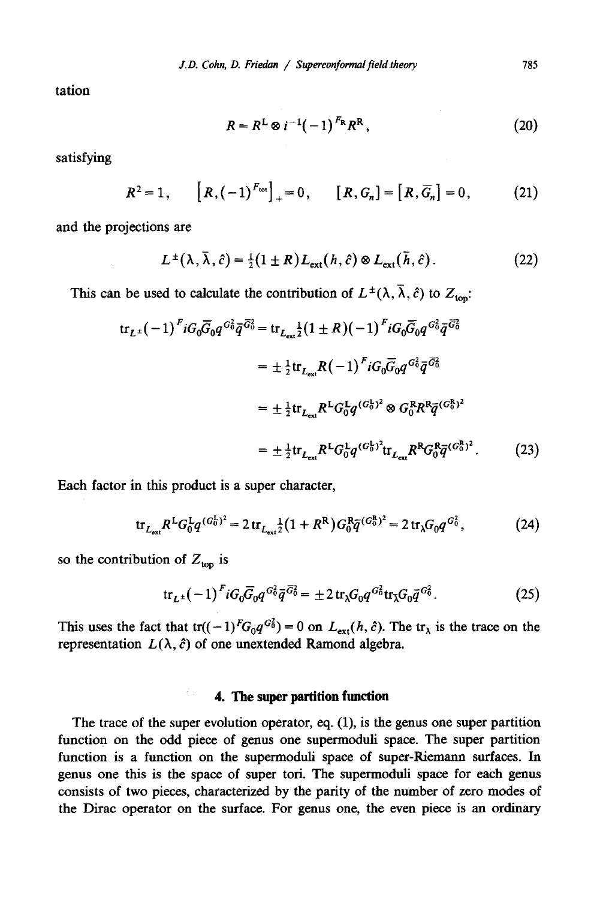tation

$$
R = RL \otimes i^{-1}(-1)^{FR} RR,
$$
 (20)

satisfying

$$
R^2 = 1
$$
,  $[R, (-1)^{F_{\text{tot}}}]_+ = 0$ ,  $[R, G_n] = [R, \overline{G}_n] = 0$ , (21)

and the projections are

$$
L^{\pm}(\lambda,\bar{\lambda},\hat{c})=\tfrac{1}{2}(1\pm R)L_{\text{ext}}(h,\hat{c})\otimes L_{\text{ext}}(\bar{h},\hat{c}).
$$
\n(22)

This can be used to calculate the contribution of  $L^{\pm}(\lambda, \overline{\lambda}, \hat{c})$  to  $Z_{\text{top}}$ :

$$
\begin{split} \operatorname{tr}_{L^{\pm}}(-1)^{F} i G_{0} \overline{G}_{0} q^{G_{0}^{2}} \overline{q}^{\overline{G}_{0}^{2}} = \operatorname{tr}_{L_{\text{ext}}^{\pm}} \frac{1}{2} (1 \pm R) (-1)^{F} i G_{0} \overline{G}_{0} q^{G_{0}^{2}} \overline{q}^{\overline{G}_{0}^{2}} \\ &= \pm \frac{1}{2} \operatorname{tr}_{L_{\text{ext}}} R(-1)^{F} i G_{0} \overline{G}_{0} q^{G_{0}^{2}} \overline{q}^{\overline{G}_{0}^{2}} \\ &= \pm \frac{1}{2} \operatorname{tr}_{L_{\text{ext}}} R^{L} G_{0}^{L} q^{(G_{0}^{L})^{2}} \otimes G_{0}^{R} R^{R} \overline{q}^{(G_{0}^{R})^{2}} \\ &= \pm \frac{1}{2} \operatorname{tr}_{L_{\text{ext}}} R^{L} G_{0}^{L} q^{(G_{0}^{L})^{2}} \operatorname{tr}_{L_{\text{ext}}} R^{R} G_{0}^{R} \overline{q}^{(G_{0}^{R})^{2}}. \end{split} \tag{23}
$$

Each factor in this product is a super character,

$$
\text{tr}_{L_{\text{ext}}} R^L G_0^L q^{(G_0^L)^2} = 2 \, \text{tr}_{L_{\text{ext}}} \frac{1}{2} \big( 1 + R^R \big) G_0^R \overline{q}^{(G_0^R)^2} = 2 \, \text{tr}_{\lambda} G_0 q^{G_0^2},\tag{24}
$$

so the contribution of  $Z_{\text{top}}$  is

$$
\text{tr}_{L^{\pm}}(-1)^{F}iG_{0}\overline{G}_{0}q^{G_{0}^2}\overline{q}^{\overline{G}_{0}^2} = \pm 2\,\text{tr}_{\lambda}G_{0}q^{G_{0}^2}\text{tr}_{\overline{\lambda}}G_{0}\overline{q}^{G_{0}^2}.\tag{25}
$$

This uses the fact that  $tr((-1)^{F}G_{0}q^{G_{0}^{2}}) = 0$  on  $L_{ext}(h, \hat{c})$ . The  $tr_{\lambda}$  is the trace on the representation  $L(\lambda, \hat{c})$  of one unextended Ramond algebra.

# **4. The super partition function**

The trace of the super evolution operator, eq. (1), is the genus one super partition function on the odd piece of genus one supermoduli space. The super partition function is a function on the supermoduli space of super-Riemann surfaces. In genus one this is the space of super tori. The supermoduli space for each genus consists of two pieces, characterized by the parity of the number of zero modes of the Dirac operator on the surface. For genus one, the even piece is an ordinary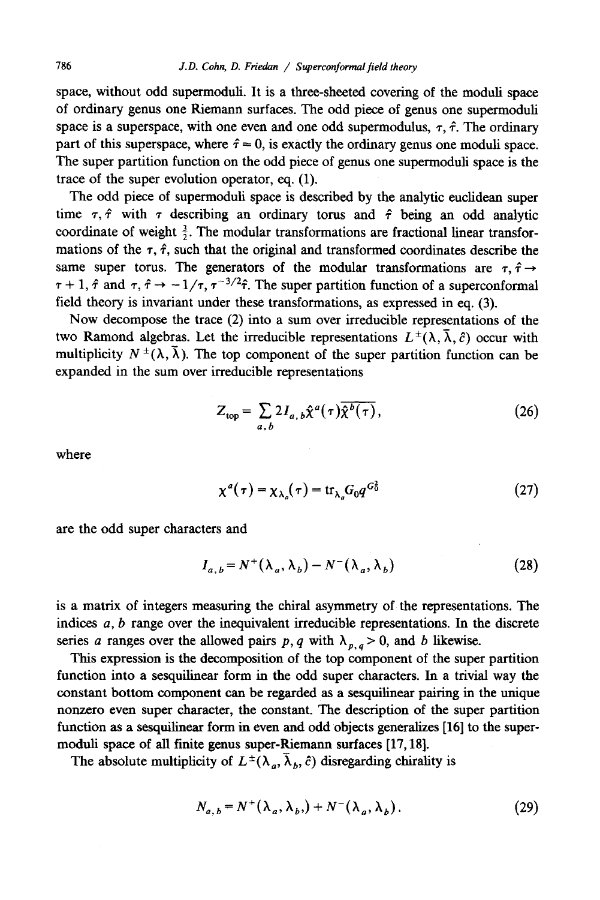space, without odd supermoduli. It is a three-sheeted covering of the moduli space of ordinary genus one Riemann surfaces. The odd piece of genus one supermoduli space is a superspace, with one even and one odd supermodulus,  $\tau$ ,  $\hat{\tau}$ . The ordinary part of this superspace, where  $\hat{\tau} = 0$ , is exactly the ordinary genus one moduli space. The super partition function on the odd piece of genus one supermoduli space is the trace of the super evolution operator, eq. (1).

The odd piece of supermoduli space is described by the analytic euclidean super time  $\tau$ ,  $\hat{\tau}$  with  $\tau$  describing an ordinary torus and  $\hat{\tau}$  being an odd analytic coordinate of weight  $\frac{3}{2}$ . The modular transformations are fractional linear transformations of the  $\tau$ ,  $\hat{\tau}$ , such that the original and transformed coordinates describe the same super torus. The generators of the modular transformations are  $\tau$ ,  $\hat{\tau} \rightarrow$  $\tau + 1$ ,  $\hat{\tau}$  and  $\tau$ ,  $\hat{\tau} \rightarrow -1/\tau$ ,  $\tau^{-3/2}\hat{\tau}$ . The super partition function of a superconformal field theory is invariant under these transformations, as expressed in eq. (3).

Now decompose the trace (2) into a sum over irreducible representations of the two Ramond algebras. Let the irreducible representations  $L^{\pm}(\lambda, \bar{\lambda}, \hat{c})$  occur with multiplicity  $N^{\pm}(\lambda, \bar{\lambda})$ . The top component of the super partition function can be expanded in the sum over irreducible representations

$$
Z_{\text{top}} = \sum_{a, b} 2I_{a, b}\hat{\chi}^a(\tau)\overline{\hat{\chi}^b(\tau)},
$$
 (26)

where

$$
\chi^a(\tau) = \chi_{\lambda_a}(\tau) = \text{tr}_{\lambda_a} G_0 q^{G_0^2} \tag{27}
$$

are the odd super characters and

$$
I_{a,b} = N^+(\lambda_a, \lambda_b) - N^-(\lambda_a, \lambda_b)
$$
 (28)

is a matrix of integers measuring the chiral asymmetry of the representations. The indices  $a, b$  range over the inequivalent irreducible representations. In the discrete series a ranges over the allowed pairs p, q with  $\lambda_{p,q} > 0$ , and b likewise.

This expression is the decomposition of the top component of the super partition function into a sesquilinear form in the odd super characters. In a trivial way the constant bottom component can be regarded as a sesquilinear pairing in the unique nonzero even super character, the constant. The description of the super partition function as a sesquilinear form in even and odd objects generalizes [16] to the supermoduli space of all finite genus super-Riemann surfaces [17,18].

The absolute multiplicity of  $L^{\pm}(\lambda_a, \overline{\lambda}_b, \hat{c})$  disregarding chirality is

$$
N_{a,b} = N^+(\lambda_a, \lambda_b) + N^-(\lambda_a, \lambda_b).
$$
 (29)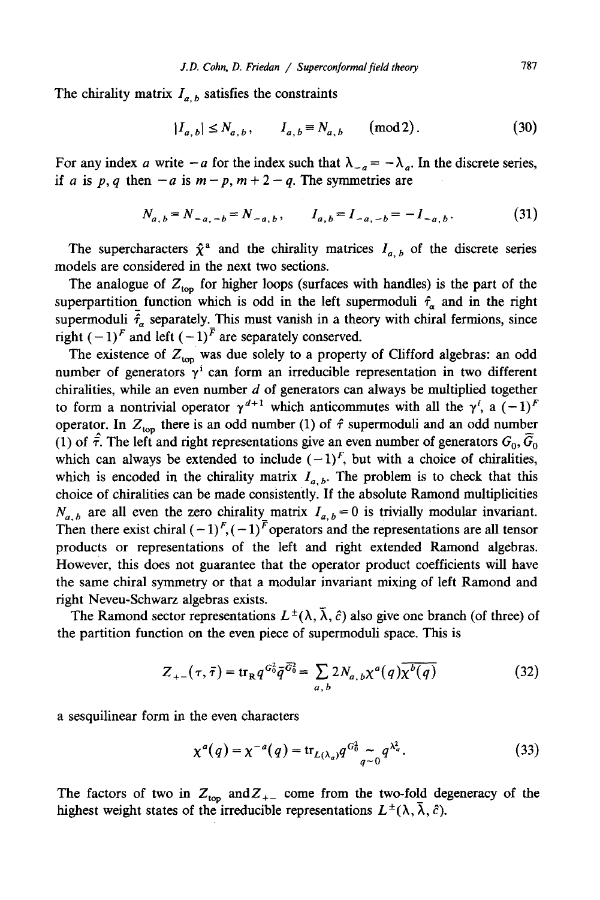The chirality matrix  $I_{a,b}$  satisfies the constraints

$$
|I_{a,b}| \le N_{a,b}, \qquad I_{a,b} \equiv N_{a,b} \qquad \text{(mod 2)}.
$$
 (30)

For any index a write  $-a$  for the index such that  $\lambda_{-a} = -\lambda_a$ . In the discrete series, if a is p, q then  $-a$  is  $m-p$ ,  $m+2-q$ . The symmetries are

$$
N_{a,b} = N_{-a,-b} = N_{-a,b}, \qquad I_{a,b} = I_{-a,-b} = -I_{-a,b}.
$$
 (31)

The supercharacters  $\hat{\chi}^a$  and the chirality matrices  $I_{a,b}$  of the discrete series models are considered in the next two sections.

The analogue of  $Z_{\text{top}}$  for higher loops (surfaces with handles) is the part of the superpartition function which is odd in the left supermoduli  $\hat{\tau}_a$  and in the right supermoduli  $\tilde{f}_{\alpha}$  separately. This must vanish in a theory with chiral fermions, since right  $(-1)^F$  and left  $(-1)^{\overline{F}}$  are separately conserved.

The existence of  $Z_{\text{top}}$  was due solely to a property of Clifford algebras: an odd number of generators  $\gamma^i$  can form an irreducible representation in two different chiralities, while an even number  $d$  of generators can always be multiplied together to form a nontrivial operator  $\gamma^{d+1}$  which anticommutes with all the  $\gamma^i$ , a  $(-1)^F$ operator. In  $Z_{\text{top}}$  there is an odd number (1) of  $\hat{\tau}$  supermoduli and an odd number (1) of  $\hat{\tau}$ . The left and right representations give an even number of generators  $G_0$ ,  $\tilde{G}_0$ which can always be extended to include  $(-1)^F$ , but with a choice of chiralities, which is encoded in the chirality matrix  $I_{a,b}$ . The problem is to check that this choice of chiralities can be made consistently. If the absolute Ramond multiplicities  $N_{a,b}$  are all even the zero chirality matrix  $I_{a,b} = 0$  is trivially modular invariant. Then there exist chiral  $(-1)^F$ ,  $(-1)^{\bar{F}}$  operators and the representations are all tensor products or representations of the left and right extended Ramond algebras. However, this does not guarantee that the operator product coefficients will have the same chiral symmetry or that a modular invariant mixing of left Ramond and right Neveu-Schwarz algebras exists.

The Ramond sector representations  $L^{\pm}(\lambda, \overline{\lambda}, \hat{c})$  also give one branch (of three) of the partition function on the even piece of supermoduli space. This is

$$
Z_{+-}(\tau,\bar{\tau}) = \text{tr}_{R} q^{G_{0}^{2}} \bar{q}^{\bar{G}_{0}^{2}} = \sum_{a,b} 2N_{a,b} \chi^{a}(q) \overline{\chi^{b}(q)}
$$
(32)

a sesquilinear form in the even characters

$$
\chi^{a}(q) = \chi^{-a}(q) = \text{tr}_{L(\lambda_{a})} q^{G_{0}^{2}} \underset{q \sim 0}{\sim} q^{\lambda_{a}^{2}}.
$$
 (33)

The factors of two in  $Z_{\text{top}}$  and  $Z_{+-}$  come from the two-fold degeneracy of the highest weight states of the irreducible representations  $L^{\pm}(\lambda, \overline{\lambda}, \hat{c})$ .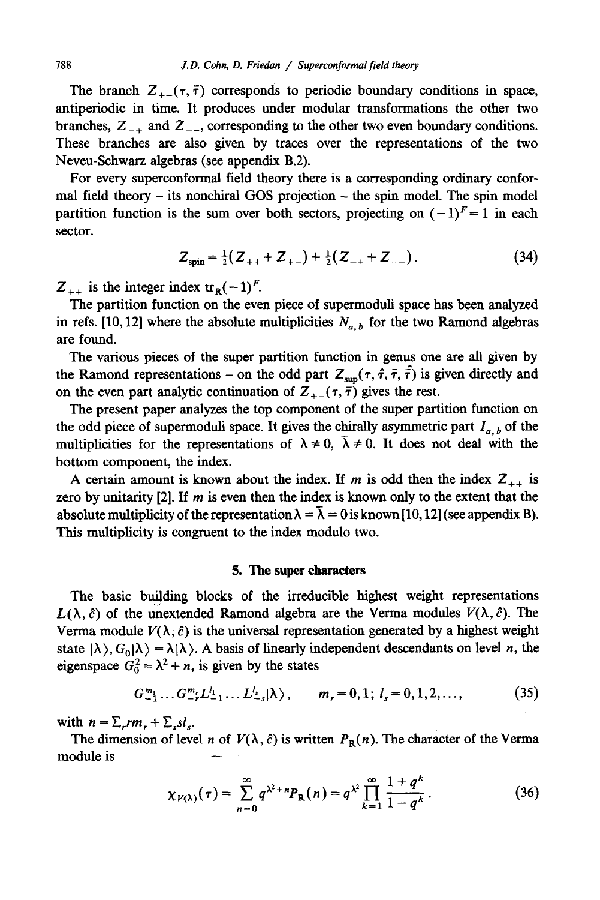The branch  $Z_{+-}(\tau, \bar{\tau})$  corresponds to periodic boundary conditions in space, antiperiodic in time. It produces under modular transformations the other two branches,  $Z_{-+}$  and  $Z_{--}$ , corresponding to the other two even boundary conditions. These branches are also given by traces over the representations of the two Neveu-Schwarz algebras (see appendix B.2).

For every superconformal field theory there is a corresponding ordinary conformal field theory - its nonchiral GOS projection - the spin model. The spin model partition function is the sum over both sectors, projecting on  $(-1)^F = 1$  in each sector.

$$
Z_{spin} = \frac{1}{2}(Z_{++} + Z_{+-}) + \frac{1}{2}(Z_{-+} + Z_{--}).
$$
 (34)

 $Z_{++}$  is the integer index tr<sub>R</sub>(-1)<sup>F</sup>.

The partition function on the even piece of supermoduli space has been analyzed in refs. [10, 12] where the absolute multiplicities  $N_{a,b}$  for the two Ramond algebras are found.

The various pieces of the super partition function in genus one are all given by the Ramond representations – on the odd part  $Z_{\text{sun}}(\tau, \hat{\tau}, \bar{\tau})$  is given directly and on the even part analytic continuation of  $Z_{+-}(\tau, \bar{\tau})$  gives the rest.

The present paper analyzes the top component of the super partition function on the odd piece of supermoduli space. It gives the chirally asymmetric part  $I_{a,b}$  of the multiplicities for the representations of  $\lambda \neq 0$ ,  $\overline{\lambda} \neq 0$ . It does not deal with the bottom component, the index.

A certain amount is known about the index. If m is odd then the index  $Z_{++}$  is zero by unitarity [2]. If m is even then the index is known only to the extent that the absolute multiplicity of the representation  $\lambda = \overline{\lambda} = 0$  is known [10, 12] (see appendix B). This multiplicity is congruent to the index modulo two.

#### **5. The super characters**

The basic building blocks of the irreducible highest weight representations  $L(\lambda, \hat{c})$  of the unextended Ramond algebra are the Verma modules  $V(\lambda, \hat{c})$ . The Verma module  $V(\lambda, \hat{c})$  is the universal representation generated by a highest weight state  $|\lambda\rangle$ ,  $G_0|\lambda\rangle = \lambda |\lambda\rangle$ . A basis of linearly independent descendants on level n, the eigenspace  $G_0^2 = \lambda^2 + n$ , is given by the states

$$
G_{-1}^{m_1} \dots G_{-r}^{m_r} L_{-1}^{l_1} \dots L_{-s}^{l_s} |\lambda\rangle, \qquad m_r = 0, 1; l_s = 0, 1, 2, \dots,
$$
 (35)

with  $n = \sum_{r} r m_r + \sum_{s} s l_s$ .

The dimension of level *n* of  $V(\lambda, \hat{c})$  is written  $P_R(n)$ . The character of the Verma module is

$$
\chi_{V(\lambda)}(\tau) = \sum_{n=0}^{\infty} q^{\lambda^2 + n} P_{\mathbf{R}}(n) = q^{\lambda^2} \prod_{k=1}^{\infty} \frac{1 + q^k}{1 - q^k}.
$$
 (36)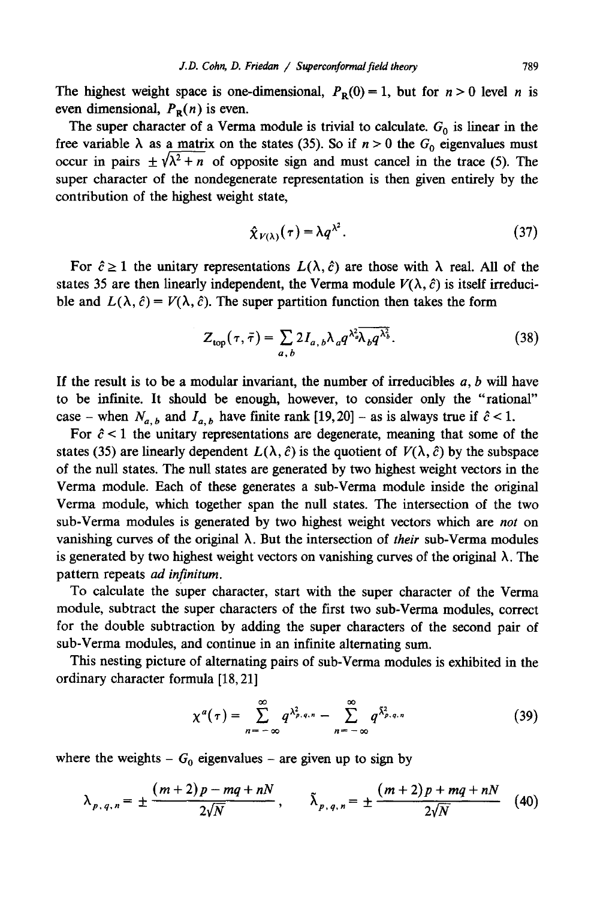The highest weight space is one-dimensional,  $P_p(0) = 1$ , but for  $n > 0$  level n is even dimensional,  $P_{\text{R}}(n)$  is even.

The super character of a Verma module is trivial to calculate.  $G_0$  is linear in the free variable  $\lambda$  as a matrix on the states (35). So if  $n > 0$  the  $G_0$  eigenvalues must occur in pairs  $\pm \sqrt{\lambda^2 + n}$  of opposite sign and must cancel in the trace (5). The super character of the nondegenerate representation is then given entirely by the contribution of the highest weight state,

$$
\hat{\chi}_{V(\lambda)}(\tau) = \lambda q^{\lambda^2}.
$$
 (37)

For  $\hat{c} \ge 1$  the unitary representations  $L(\lambda, \hat{c})$  are those with  $\lambda$  real. All of the states 35 are then linearly independent, the Verma module  $V(\lambda, \hat{c})$  is itself irreducible and  $L(\lambda, \hat{c}) = V(\lambda, \hat{c})$ . The super partition function then takes the form

$$
Z_{\text{top}}(\tau,\bar{\tau}) = \sum_{a,\,b} 2I_{a,\,b} \lambda_a q^{\lambda_a^2} \overline{\lambda_b q^{\lambda_b^2}}.
$$
 (38)

If the result is to be a modular invariant, the number of irreducibles  $a, b$  will have to be infinite. It should be enough, however, to consider only the "rational" case – when  $N_{a,b}$  and  $I_{a,b}$  have finite rank [19, 20] – as is always true if  $\hat{c}$  < 1.

For  $\hat{c}$  < 1 the unitary representations are degenerate, meaning that some of the states (35) are linearly dependent  $L(\lambda, \hat{c})$  is the quotient of  $V(\lambda, \hat{c})$  by the subspace of the null states. The null states are generated by two highest weight vectors in the Verma module. Each of these generates a sub-Verma module inside the original Verma module, which together span the null states. The intersection of the two sub-Verma modules is generated by two highest weight vectors which are *not* on vanishing curves of the original  $\lambda$ . But the intersection of *their* sub-Verma modules is generated by two highest weight vectors on vanishing curves of the original  $\lambda$ . The pattern repeats *ad infinitum.* 

To calculate the super character, start with the super character of the Verma module, subtract the super characters of the first two sub-Verma modules, correct for the double subtraction by adding the super characters of the second pair of sub-Verma modules, and continue in an infinite alternating sum.

This nesting picture of alternating pairs of sub-Verma modules is exhibited in the ordinary character formula [18, 21]

$$
\chi^a(\tau) = \sum_{n=-\infty}^{\infty} q^{\lambda_{p,q,n}^2} - \sum_{n=-\infty}^{\infty} q^{\tilde{\lambda}_{p,q,n}^2}
$$
 (39)

where the weights -  $G_0$  eigenvalues - are given up to sign by

$$
\lambda_{p,q,n} = \pm \frac{(m+2)p - mq + nN}{2\sqrt{N}}, \qquad \tilde{\lambda}_{p,q,n} = \pm \frac{(m+2)p + mq + nN}{2\sqrt{N}} \tag{40}
$$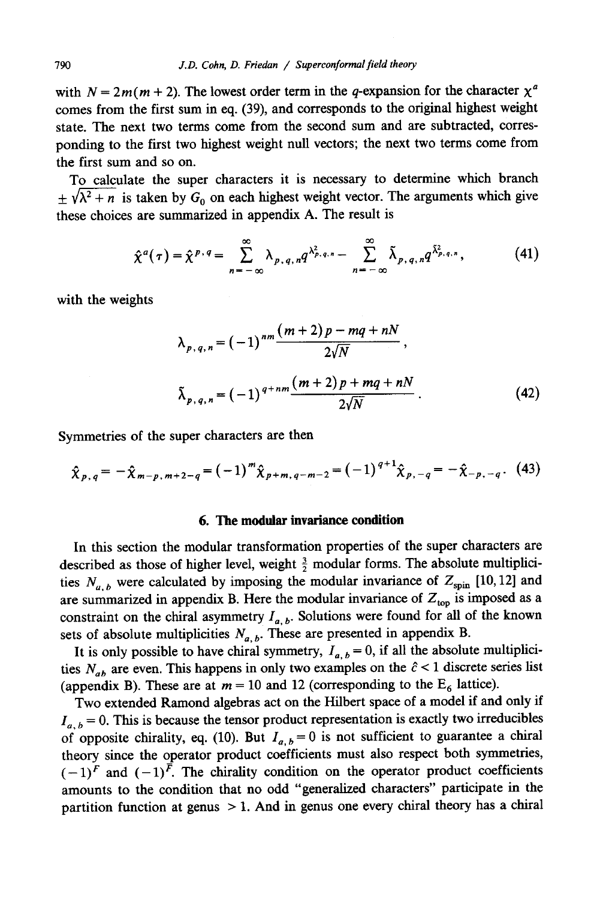with  $N = 2m(m + 2)$ . The lowest order term in the *q*-expansion for the character  $\chi^a$ comes from the first sum in eq. (39), and corresponds to the original highest weight state. The next two terms come from the second sum and are subtracted, corresponding to the first two highest weight null vectors; the next two terms come from the first sum and so on.

To calculate the super characters it is necessary to determine which branch  $\pm \sqrt{\lambda^2 + n}$  is taken by  $G_0$  on each highest weight vector. The arguments which give these choices are summarized in appendix A. The result is

$$
\hat{\chi}^a(\tau) = \hat{\chi}^{p,q} = \sum_{n=-\infty}^{\infty} \lambda_{p,q,n} q^{\lambda_{p,q,n}^2} - \sum_{n=-\infty}^{\infty} \tilde{\lambda}_{p,q,n} q^{\tilde{\lambda}_{p,q,n}^2},
$$
(41)

with the weights

$$
\lambda_{p,q,n} = (-1)^{nm} \frac{(m+2)p - mq + nN}{2\sqrt{N}},
$$
  

$$
\tilde{\lambda}_{p,q,n} = (-1)^{q+nm} \frac{(m+2)p + mq + nN}{2\sqrt{N}}.
$$
 (42)

Symmetries of the super characters are then

$$
\hat{\chi}_{p,q} = -\hat{\chi}_{m-p,m+2-q} = (-1)^m \hat{\chi}_{p+m,q-m-2} = (-1)^{q+1} \hat{\chi}_{p,-q} = -\hat{\chi}_{-p,-q}.
$$
 (43)

### **6. The modular invariance condition**

In this section the modular transformation properties of the super characters are described as those of higher level, weight  $\frac{3}{2}$  modular forms. The absolute multiplicities  $N_{a,b}$  were calculated by imposing the modular invariance of  $Z_{spin}$  [10,12] and are summarized in appendix B. Here the modular invariance of  $Z_{\text{top}}$  is imposed as a constraint on the chiral asymmetry  $I_{a, b}$ . Solutions were found for all of the known sets of absolute multiplicities  $N_{a,b}$ . These are presented in appendix B.

It is only possible to have chiral symmetry,  $I_{a, b} = 0$ , if all the absolute multiplicities  $N_{ab}$  are even. This happens in only two examples on the  $\hat{c}$  < 1 discrete series list (appendix B). These are at  $m = 10$  and 12 (corresponding to the  $E_6$  lattice).

Two extended Ramond algebras act on the Hilbert space of a model if and only if  $I_{a,b} = 0$ . This is because the tensor product representation is exactly two irreducibles of opposite chirality, eq. (10). But  $I_{a,b} = 0$  is not sufficient to guarantee a chiral theory since the operator product coefficients must also respect both symmetries,  $(-1)^F$  and  $(-1)^{\overline{F}}$ . The chirality condition on the operator product coefficients amounts to the condition that no odd "generalized characters" participate in the partition function at genus  $> 1$ . And in genus one every chiral theory has a chiral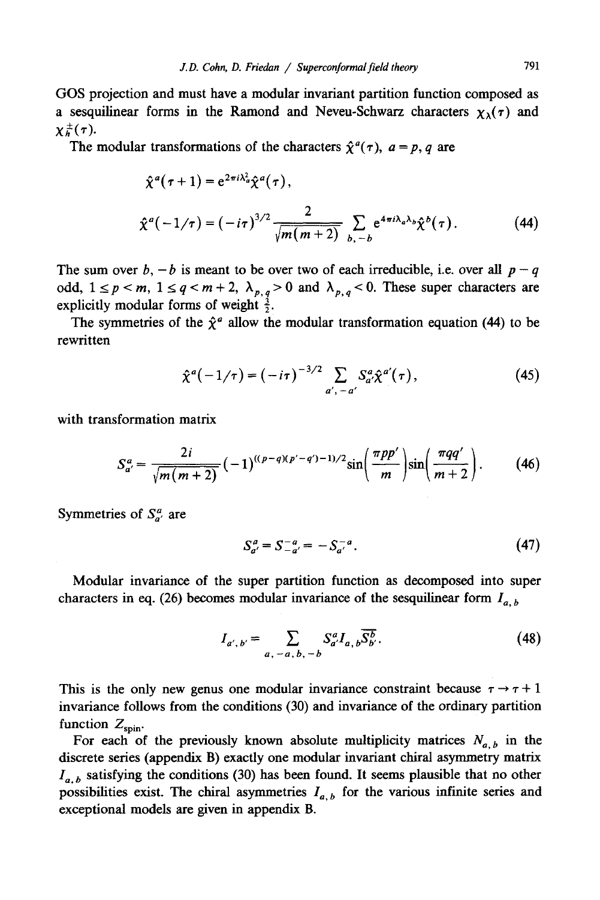OOS projection and must have a modular invariant partition function composed as a sesquilinear forms in the Ramond and Neveu-Schwarz characters  $\chi_{\lambda}(\tau)$  and  $\chi^{\pm}_{h}(\tau)$ .

The modular transformations of the characters  $\hat{\chi}^a(\tau)$ ,  $a = p$ , q are

$$
\hat{\chi}^{a}(\tau+1) = e^{2\pi i \lambda_{a}^{2}} \hat{\chi}^{a}(\tau),
$$
\n
$$
\hat{\chi}^{a}(-1/\tau) = (-i\tau)^{3/2} \frac{2}{\sqrt{m(m+2)}} \sum_{b, -b} e^{4\pi i \lambda_{a} \lambda_{b}} \hat{\chi}^{b}(\tau).
$$
\n(44)

The sum over  $b, -b$  is meant to be over two of each irreducible, i.e. over all  $p - q$ odd,  $1 \le p \le m$ ,  $1 \le q \le m + 2$ ,  $\lambda_{p,q} > 0$  and  $\lambda_{p,q} < 0$ . These super characters are explicitly modular forms of weight  $\frac{3}{2}$ .

The symmetries of the  $\hat{\chi}^a$  allow the modular transformation equation (44) to be rewritten

$$
\hat{\chi}^{a}(-1/\tau) = (-i\tau)^{-3/2} \sum_{a', -a'} S_{a'}^{a} \hat{\chi}^{a'}(\tau), \qquad (45)
$$

with transformation matrix

$$
S_{a'}^{a} = \frac{2i}{\sqrt{m(m+2)}} \left(-1\right)^{((p-q)(p'-q')-1)/2} \sin\left(\frac{\pi pp'}{m}\right) \sin\left(\frac{\pi qq'}{m+2}\right). \tag{46}
$$

Symmetries of  $S_{a}^{a}$  are

$$
S_{a'}^a = S_{-a'}^{-a} = -S_{a'}^{-a}.
$$
 (47)

Modular invariance of the super partition function as decomposed into super characters in eq. (26) becomes modular invariance of the sesquilinear form  $I_{a, b}$ 

$$
I_{a',b'} = \sum_{a,-a,b,-b} S_{a'}^{a} I_{a,b} \overline{S_{b'}^{b}}.
$$
 (48)

This is the only new genus one modular invariance constraint because  $\tau \rightarrow \tau + 1$ invariance follows from the conditions (30) and invariance of the ordinary partition function  $Z_{spin}$ .

For each of the previously known absolute multiplicity matrices  $N_{a,b}$  in the discrete series (appendix B) exactly one modular invariant chiral asymmetry matrix  $I_{a,b}$  satisfying the conditions (30) has been found. It seems plausible that no other possibilities exist. The chiral asymmetries  $I_{a,b}$  for the various infinite series and exceptional models are given in appendix B.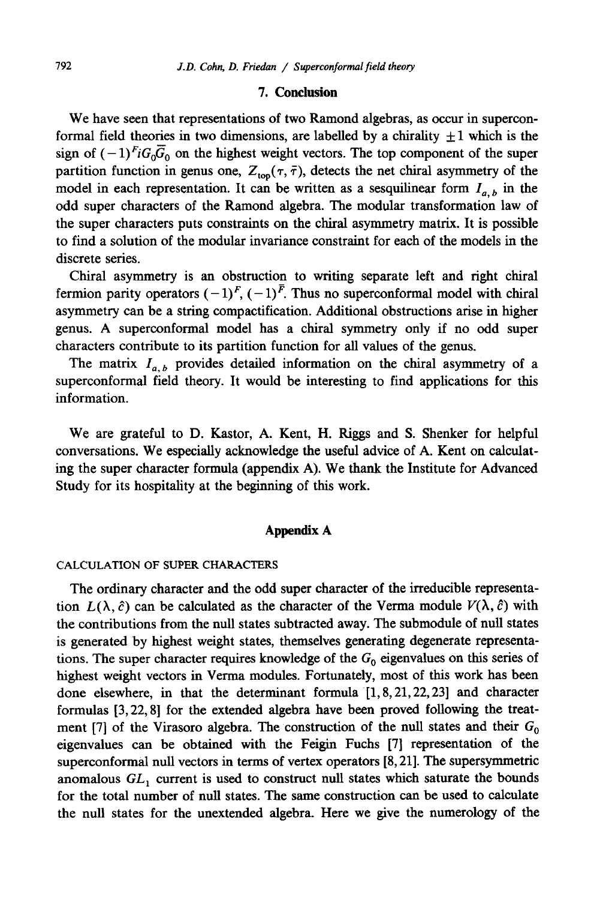# **7. Conclusion**

We have seen that representations of two Ramond algebras, as occur in superconformal field theories in two dimensions, are labelled by a chirality  $\pm 1$  which is the sign of  $(-1)^{F_i}G_0\overline{G}_0$  on the highest weight vectors. The top component of the super partition function in genus one,  $Z_{\text{top}}(\tau, \bar{\tau})$ , detects the net chiral asymmetry of the model in each representation. It can be written as a sesquilinear form  $I_{a,b}$  in the odd super characters of the Ramond algebra. The modular transformation law of the super characters puts constraints on the chiral asymmetry matrix. It is possible to find a solution of the modular invariance constraint for each of the models in the discrete series.

Chiral asymmetry is an obstruction to writing separate left and right chiral fermion parity operators  $(-1)^F$ ,  $(-1)^{\overline{F}}$ . Thus no superconformal model with chiral asymmetry can be a string compactification. Additional obstructions arise in higher genus. A superconformal model has a chiral symmetry only if no odd super characters contribute to its partition function for all values of the genus.

The matrix  $I_{a,b}$  provides detailed information on the chiral asymmetry of a superconformal field theory. It would be interesting to find applications for this information.

We are grateful to D. Kastor, A. Kent, H. Riggs and S. Shenker for helpful conversations. We especially acknowledge the useful advice of A. Kent on calculating the super character formula (appendix A). We thank the Institute for Advanced Study for its hospitality at the beginning of this work.

# **Appendix A**

# CALCULATION OF SUPER CHARACTERS

The ordinary character and the odd super character of the irreducible representation  $L(\lambda, \hat{c})$  can be calculated as the character of the Verma module  $V(\lambda, \hat{c})$  with the contributions from the null states subtracted away. The submodule of null states is generated by highest weight states, themselves generating degenerate representations. The super character requires knowledge of the  $G_0$  eigenvalues on this series of highest weight vectors in Verma modules. Fortunately, most of this work has been done elsewhere, in that the determinant formula [1,8,21,22,23] and character formulas [3, 22, 8] for the extended algebra have been proved following the treatment [7] of the Virasoro algebra. The construction of the null states and their  $G_0$ eigenvalues can be obtained with the Feigin Fuchs [7] representation of the superconformal null vectors in terms of vertex operators [8, 21]. The supersymmetric anomalous  $GL_1$  current is used to construct null states which saturate the bounds for the total number of null states. The same construction can be used to calculate the null states for the unextended algebra. Here we give the numerology of the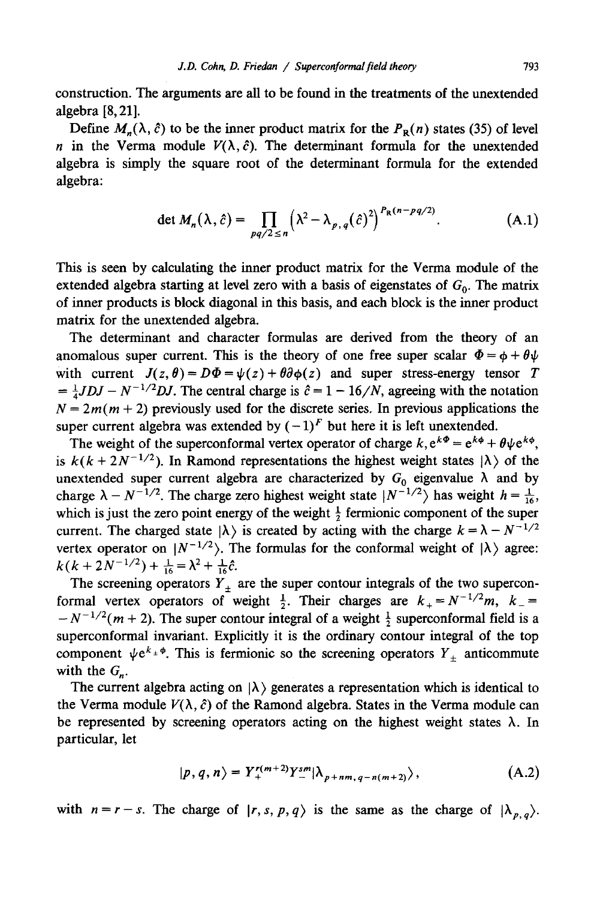construction. The arguments are all to be found in the treatments of the unextended algebra [8, 21].

Define  $M_n(\lambda, \hat{c})$  to be the inner product matrix for the  $P_R(n)$  states (35) of level n in the Verma module  $V(\lambda, \hat{c})$ . The determinant formula for the unextended algebra is simply the square root of the determinant formula for the extended algebra:

$$
\det M_n(\lambda, \hat{c}) = \prod_{pq/2 \le n} \left(\lambda^2 - \lambda_{p,q}(\hat{c})^2\right)^{P_R(n - pq/2)}.\tag{A.1}
$$

This is seen by calculating the inner product matrix for the Verma module of the extended algebra starting at level zero with a basis of eigenstates of  $G_0$ . The matrix of inner products is block diagonal in this basis, and each block is the inner product matrix for the unextended algebra.

The determinant and character formulas are derived from the theory of an anomalous super current. This is the theory of one free super scalar  $\Phi = \phi + \theta \psi$ with current  $J(z, \theta) = D\Phi = \psi(z) + \theta \partial \phi(z)$  and super stress-energy tensor T  $= \frac{1}{4}JDJ - N^{-1/2}DJ$ . The central charge is  $\hat{c} = 1 - 16/N$ , agreeing with the notation  $N = 2m(m + 2)$  previously used for the discrete series. In previous applications the super current algebra was extended by  $(-1)^F$  but here it is left unextended.

The weight of the superconformal vertex operator of charge  $k$ ,  $e^{k\Phi} = e^{k\phi} + \theta \psi e^{k\phi}$ , is  $k(k + 2N^{-1/2})$ . In Ramond representations the highest weight states  $|\lambda\rangle$  of the unextended super current algebra are characterized by  $G_0$  eigenvalue  $\lambda$  and by charge  $\lambda - N^{-1/2}$ . The charge zero highest weight state  $|N^{-1/2}\rangle$  has weight  $h = \frac{1}{16}$ . which is just the zero point energy of the weight  $\frac{1}{2}$  fermionic component of the super current. The charged state  $|\lambda\rangle$  is created by acting with the charge  $k = \lambda - N^{-1/2}$ vertex operator on  $|N^{-1/2}\rangle$ . The formulas for the conformal weight of  $|\lambda\rangle$  agree:  $k(k + 2N^{-1/2}) + \frac{1}{16} = \lambda^2 + \frac{1}{16}\hat{c}.$ 

The screening operators  $Y_{\pm}$  are the super contour integrals of the two superconformal vertex operators of weight  $\frac{1}{2}$ . Their charges are  $k_{+} = N^{-1/2}m$ ,  $k_{-} =$  $-N^{-1/2}(m+2)$ . The super contour integral of a weight  $\frac{1}{2}$  superconformal field is a superconformal invariant. Explicitly it is the ordinary contour integral of the top component  $\psi e^{k_{\pm} \phi}$ . This is fermionic so the screening operators  $Y_{\pm}$  anticommute with the  $G_n$ .

The current algebra acting on  $|\lambda\rangle$  generates a representation which is identical to the Verma module  $V(\lambda, \hat{c})$  of the Ramond algebra. States in the Verma module can be represented by screening operators acting on the highest weight states  $\lambda$ . In particular, let

$$
|p,q,n\rangle = Y_+^{r(m+2)} Y_-^{sm} |\lambda_{p+nm,q-n(m+2)}\rangle, \qquad (A.2)
$$

with  $n = r - s$ . The charge of  $|r, s, p, q\rangle$  is the same as the charge of  $|\lambda_{p,q}\rangle$ .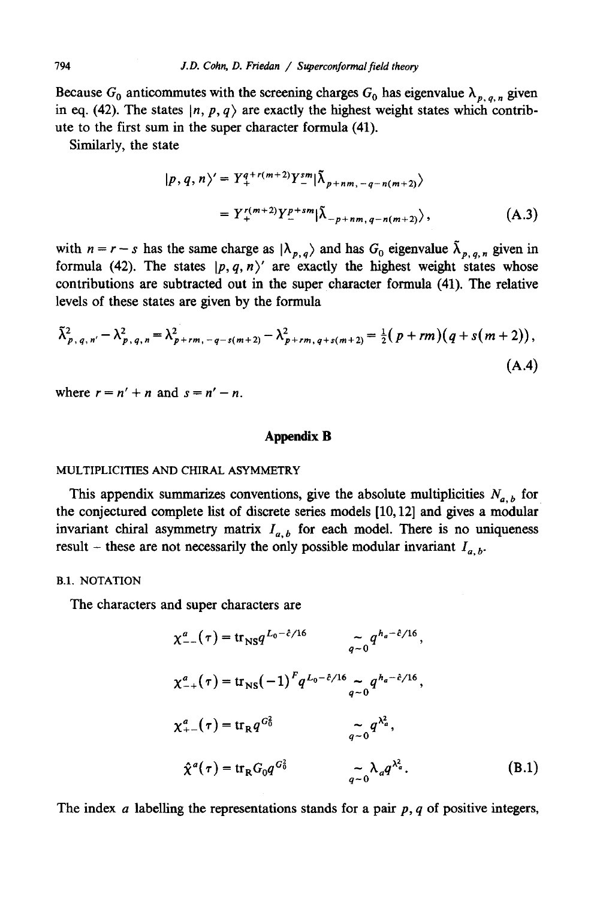Because  $G_0$  anticommutes with the screening charges  $G_0$  has eigenvalue  $\lambda_{p,q,n}$  given in eq. (42). The states  $|n, p, q \rangle$  are exactly the highest weight states which contribute to the first sum in the super character formula (41).

Similarly, the state

$$
|p, q, n\rangle' = Y_+^{q+r(m+2)} Y_-^{sm} |\tilde{\lambda}_{p+nm, -q-n(m+2)}\rangle
$$
  
=  $Y_+^{r(m+2)} Y_-^{p+sm} |\tilde{\lambda}_{-p+nm, q-n(m+2)}\rangle$ , (A.3)

with  $n = r - s$  has the same charge as  $|\lambda_{p,q}\rangle$  and has  $G_0$  eigenvalue  $\tilde{\lambda}_{p,q,n}$  given in formula (42). The states  $|p, q, n\rangle'$  are exactly the highest weight states whose contributions are subtracted out in the super character formula (41). The relative levels of these states are given by the formula

$$
\tilde{\lambda}_{p,q,n'}^2 - \lambda_{p,q,n}^2 = \lambda_{p+rm,-q-s(m+2)}^2 - \lambda_{p+rm,q+s(m+2)}^2 = \frac{1}{2} (p+rm) (q+s(m+2)),
$$
\n(A.4)

where  $r = n' + n$  and  $s = n' - n$ .

#### **Appendix B**

#### MULTIPLICITIES AND CHIRAL ASYMMETRY

This appendix summarizes conventions, give the absolute multiplicities  $N_{a,b}$  for the conjectured complete list of discrete series models [10,12] and gives a modular invariant chiral asymmetry matrix  $I_{a,b}$  for each model. There is no uniqueness result – these are not necessarily the only possible modular invariant  $I_{a,b}$ .

## B.1, NOTATION

The characters and super characters are

$$
\chi_{--}^{a}(\tau) = \text{tr}_{\text{NS}} q^{L_0 - \hat{c}/16} \qquad \qquad \widetilde{q}^{-0} q^{h_a - \hat{c}/16},
$$
\n
$$
\chi_{-+}^{a}(\tau) = \text{tr}_{\text{NS}} (-1)^F q^{L_0 - \hat{c}/16} \sim q^{h_a - \hat{c}/16},
$$
\n
$$
\chi_{+-}^{a}(\tau) = \text{tr}_{\text{R}} q^{G_0^2} \qquad \qquad \widetilde{q}^{-0} q^{\lambda_a^2},
$$
\n
$$
\hat{\chi}^{a}(\tau) = \text{tr}_{\text{R}} G_0 q^{G_0^2} \qquad \qquad \widetilde{q}^{-0} \lambda_a q^{\lambda_a^2}.
$$
\n(B.1)

The index a labelling the representations stands for a pair  $p, q$  of positive integers,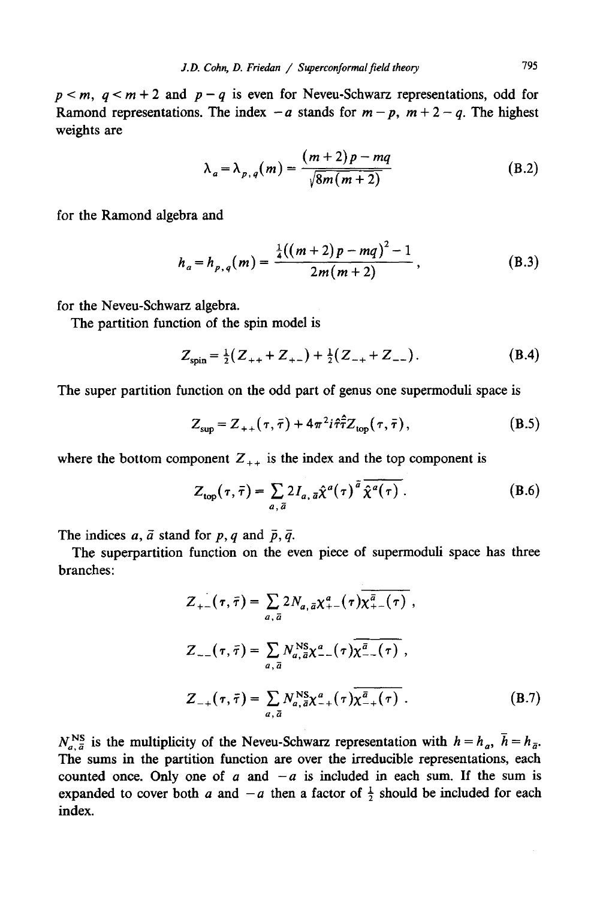$p < m$ ,  $q < m + 2$  and  $p - q$  is even for Neveu-Schwarz representations, odd for Ramond representations. The index  $-a$  stands for  $m - p$ ,  $m + 2 - q$ . The highest weights are

$$
\lambda_a = \lambda_{p,q}(m) = \frac{(m+2)p - mq}{\sqrt{8m(m+2)}}\tag{B.2}
$$

for the Ramond algebra and

$$
h_a = h_{p,q}(m) = \frac{\frac{1}{4}((m+2)p - mq)^2 - 1}{2m(m+2)},
$$
\n(B.3)

for the Neveu-Schwarz algebra.

The partition function of the spin model is

$$
Z_{\rm spin} = \frac{1}{2}(Z_{++} + Z_{+-}) + \frac{1}{2}(Z_{-+} + Z_{--}). \tag{B.4}
$$

The super partition function on the odd part of genus one supermoduli space is

$$
Z_{\text{sup}} = Z_{++}(\tau, \bar{\tau}) + 4\pi^2 i \hat{\tau} \hat{\tau} Z_{\text{top}}(\tau, \bar{\tau}), \qquad (B.5)
$$

where the bottom component  $Z_{++}$  is the index and the top component is

$$
Z_{\text{top}}(\tau,\bar{\tau}) = \sum_{a,\,\bar{a}} 2I_{a,\,\bar{a}}\hat{\chi}^a(\tau)^{\bar{a}}\,\overline{\hat{\chi}^a(\tau)}\,. \tag{B.6}
$$

The indices a,  $\bar{a}$  stand for p, q and  $\bar{p}, \bar{q}$ .

The superpartition function on the even piece of supermoduli space has three branches:

$$
Z_{+-}(\tau,\bar{\tau}) = \sum_{a,\bar{a}} 2N_{a,\bar{a}} \chi_{+-}^a(\tau) \overline{\chi_{+-}^{\bar{a}}(\tau)},
$$
  
\n
$$
Z_{--}(\tau,\bar{\tau}) = \sum_{a,\bar{a}} N_{a,\bar{a}}^{\text{NS}} \chi_{--}^a(\tau) \overline{\chi_{--}^{\bar{a}}(\tau)},
$$
  
\n
$$
Z_{-+}(\tau,\bar{\tau}) = \sum_{a,\bar{a}} N_{a,\bar{a}}^{\text{NS}} \chi_{-+}^a(\tau) \overline{\chi_{-+}^{\bar{a}}(\tau)}.
$$
 (B.7)

 $N_{a,\bar{a}}^{NS}$  is the multiplicity of the Neveu-Schwarz representation with  $h = h_a$ ,  $\bar{h} = h_{\bar{a}}$ . The sums in the partition function are over the irreducible representations, each counted once. Only one of a and  $-a$  is included in each sum. If the sum is expanded to cover both a and  $-a$  then a factor of  $\frac{1}{2}$  should be included for each index.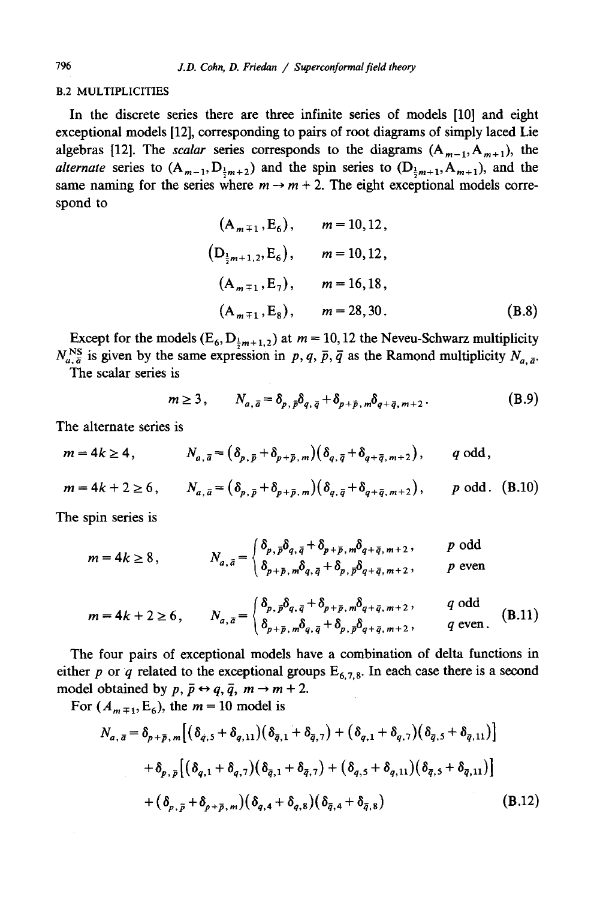#### B.2 MULTIPLICITIES

In the discrete series there are three infinite series of models [10] and eight exceptional models [12], corresponding to pairs of root diagrams of simply laced Lie algebras [12]. The *scalar* series corresponds to the diagrams  $(A_{m-1}, A_{m+1})$ , the *alternate* series to  $(A_{m-1}, D_{\frac{1}{2}m+2})$  and the spin series to  $(D_{\frac{1}{2}m+1}, A_{m+1})$ , and the same naming for the series where  $m \to m + 2$ . The eight exceptional models correspond to

$$
(A_{m+1}, E_6), \t m = 10, 12,
$$
  
\n
$$
(D_{\frac{1}{2}m+1,2}, E_6), \t m = 10, 12,
$$
  
\n
$$
(A_{m+1}, E_7), \t m = 16, 18,
$$
  
\n
$$
(A_{m+1}, E_8), \t m = 28, 30.
$$
  
\n(B.8)

Except for the models ( $E_6$ ,  $D_{\frac{1}{2}m+1,2}$ ) at  $m = 10,12$  the Neveu-Schwarz multiplicity  $N_{a, \bar{a}}^{\text{NS}}$  is given by the same expression in p, q,  $\bar{p}$ ,  $\bar{q}$  as the Ramond multiplicity  $N_{a, \bar{a}}$ .

The scalar series is

$$
m \ge 3, \qquad N_{a,\bar{a}} = \delta_{p,\bar{p}} \delta_{q,\bar{q}} + \delta_{p+\bar{p},m} \delta_{q+\bar{q},m+2}.
$$
 (B.9)

The alternate series is

$$
m=4k\geq 4, \hspace{1cm} N_{a,\bar{a}}=(\delta_{p,\bar{p}}+\delta_{p+\bar{p},m})(\delta_{q,\bar{q}}+\delta_{q+\bar{q},m+2}), \hspace{1cm} q \text{ odd},
$$

$$
m = 4k + 2 \ge 6
$$
,  $N_{a,\bar{a}} = (\delta_{p,\bar{p}} + \delta_{p+\bar{p},m})(\delta_{q,\bar{q}} + \delta_{q+\bar{q},m+2}),$  *p* odd. (B.10)

The spin series is

$$
m = 4k \ge 8, \qquad N_{a,\bar{a}} = \begin{cases} \delta_{p,\bar{p}} \delta_{q,\bar{q}} + \delta_{p+\bar{p},m} \delta_{q+\bar{q},m+2}, & p \text{ odd} \\ \delta_{p+\bar{p},m} \delta_{q,\bar{q}} + \delta_{p,\bar{p}} \delta_{q+\bar{q},m+2}, & p \text{ even} \end{cases}
$$

$$
m = 4k + 2 \ge 6, \qquad N_{a,\bar{a}} = \begin{cases} \delta_{p,\bar{p}} \delta_{q,\bar{q}} + \delta_{p+\bar{p},m} \delta_{q+\bar{q},m+2}, & q \text{ odd} \\ \delta_{p+\bar{p},m} \delta_{q,\bar{q}} + \delta_{p,\bar{p}} \delta_{q+\bar{q},m+2}, & q \text{ even.} \end{cases}
$$
(B.11)

The four pairs of exceptional models have a combination of delta functions in either p or q related to the exceptional groups  $E_{6,7,8}$ . In each case there is a second model obtained by  $p, \bar{p} \leftrightarrow q, \bar{q}, m \rightarrow m + 2$ .

For  $(A_{m+1}, E_6)$ , the  $m = 10$  model is

$$
N_{a,\bar{a}} = \delta_{p+\bar{p},m} \left[ (\delta_{\bar{q},5} + \delta_{q,11}) (\delta_{\bar{q},1} + \delta_{\bar{q},7}) + (\delta_{q,1} + \delta_{q,7}) (\delta_{\bar{q},5} + \delta_{\bar{q},11}) \right]
$$
  
+  $\delta_{p,\bar{p}} \left[ (\delta_{q,1} + \delta_{q,7}) (\delta_{\bar{q},1} + \delta_{\bar{q},7}) + (\delta_{q,5} + \delta_{q,11}) (\delta_{\bar{q},5} + \delta_{\bar{q},11}) \right]$   
+  $(\delta_{p,\bar{p}} + \delta_{p+\bar{p},m}) (\delta_{q,4} + \delta_{q,8}) (\delta_{\bar{q},4} + \delta_{\bar{q},8})$  (B.12)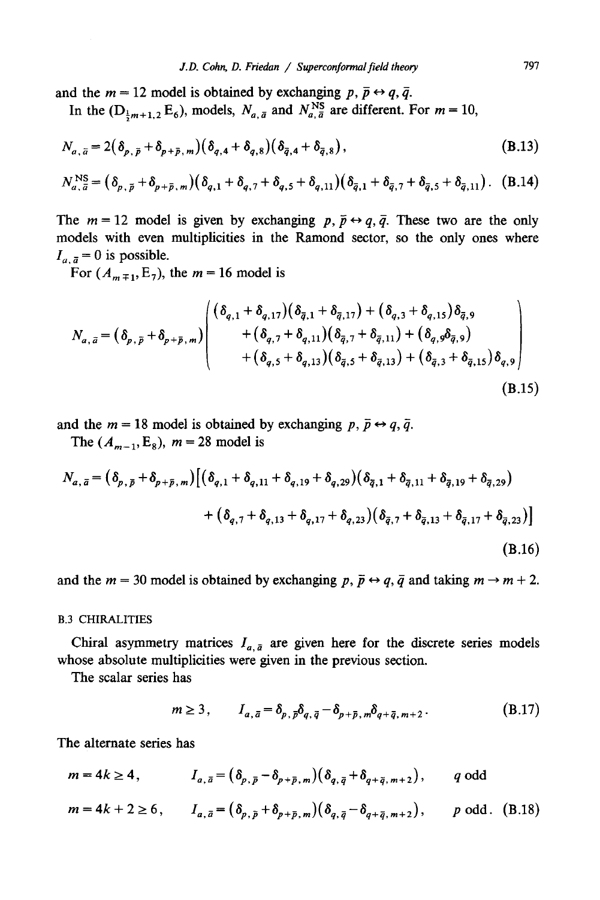and the  $m = 12$  model is obtained by exchanging p,  $\bar{p} \leftrightarrow q, \bar{q}$ .

In the  $(D_{\frac{1}{2}m+1,2} E_6)$ , models,  $N_{a,\bar{a}}$  and  $N_{a,\bar{a}}^{NS}$  are different. For  $m = 10$ ,

$$
N_{a,\bar{a}} = 2(\delta_{p,\bar{p}} + \delta_{p+\bar{p},m})(\delta_{q,4} + \delta_{q,8})(\delta_{\bar{q},4} + \delta_{\bar{q},8}),
$$
\n(B.13)

$$
N_{a,\bar{a}}^{\text{NS}} = (\delta_{p,\bar{p}} + \delta_{p+\bar{p},m})(\delta_{q,1} + \delta_{q,7} + \delta_{q,5} + \delta_{q,11})(\delta_{\bar{q},1} + \delta_{\bar{q},7} + \delta_{\bar{q},5} + \delta_{\bar{q},11}). \quad (B.14)
$$

The  $m = 12$  model is given by exchanging  $p, \bar{p} \leftrightarrow q, \bar{q}$ . These two are the only models with even multiplicities in the Ramond sector, so the only ones where  $I_{a, \bar{a}} = 0$  is possible.

For  $(A_{m+1}, E_7)$ , the  $m = 16$  model is

$$
N_{a,\bar{a}} = (\delta_{p,\bar{p}} + \delta_{p+\bar{p},m}) \begin{pmatrix} (\delta_{q,1} + \delta_{q,17})(\delta_{\bar{q},1} + \delta_{\bar{q},17}) + (\delta_{q,3} + \delta_{q,15})\delta_{\bar{q},9} \\ + (\delta_{q,7} + \delta_{q,11})(\delta_{\bar{q},7} + \delta_{\bar{q},11}) + (\delta_{q,9}\delta_{\bar{q},9}) \\ + (\delta_{q,5} + \delta_{q,13})(\delta_{\bar{q},5} + \delta_{\bar{q},13}) + (\delta_{\bar{q},3} + \delta_{\bar{q},15})\delta_{q,9} \end{pmatrix}
$$
\n(B.15)

and the  $m = 18$  model is obtained by exchanging  $p, \bar{p} \leftrightarrow q, \bar{q}$ .

The  $(A_{m-1}, E_8)$ ,  $m = 28$  model is

$$
N_{a,\bar{a}} = (\delta_{p,\bar{p}} + \delta_{p+\bar{p},m}) \left[ (\delta_{q,1} + \delta_{q,11} + \delta_{q,19} + \delta_{q,29}) (\delta_{\bar{q},1} + \delta_{\bar{q},11} + \delta_{\bar{q},19} + \delta_{\bar{q},29}) + (\delta_{q,7} + \delta_{q,13} + \delta_{q,17} + \delta_{q,23}) (\delta_{\bar{q},7} + \delta_{\bar{q},13} + \delta_{\bar{q},17} + \delta_{\bar{q},23}) \right]
$$
\n(B.16)

and the  $m = 30$  model is obtained by exchanging  $p, \bar{p} \leftrightarrow q, \bar{q}$  and taking  $m \rightarrow m + 2$ .

#### B.3 CHIRALITIES

Chiral asymmetry matrices  $I_{a, \bar{a}}$  are given here for the discrete series models whose absolute multiplicities were given in the previous section.

The scalar series has

$$
m \ge 3, \qquad I_{a,\bar{a}} = \delta_{p,\bar{p}} \delta_{q,\bar{q}} - \delta_{p+\bar{p},m} \delta_{q+\bar{q},m+2}.
$$
 (B.17)

The alternate series has

$$
m = 4k \ge 4, \qquad I_{a,\,\bar{a}} = \left(\delta_{p,\,\bar{p}} - \delta_{p+\bar{p},\,m}\right)\left(\delta_{q,\,\bar{q}} + \delta_{q+\bar{q},\,m+2}\right), \qquad q \text{ odd}
$$

$$
m = 4k + 2 \ge 6
$$
,  $I_{a,\bar{a}} = (\delta_{p,\bar{p}} + \delta_{p+\bar{p},m})(\delta_{q,\bar{q}} - \delta_{q+\bar{q},m+2}),$  *p* odd. (B.18)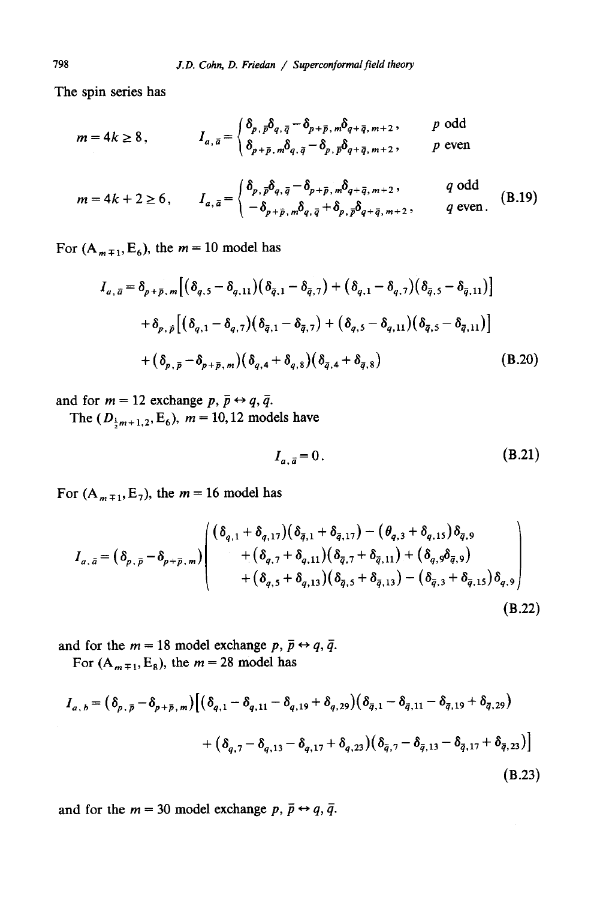The spin series has

$$
m = 4k \ge 8, \qquad I_{a, \bar{a}} = \begin{cases} \delta_{p, \bar{p}} \delta_{q, \bar{q}} - \delta_{p + \bar{p}, m} \delta_{q + \bar{q}, m + 2}, & p \text{ odd} \\ \delta_{p + \bar{p}, m} \delta_{q, \bar{q}} - \delta_{p, \bar{p}} \delta_{q + \bar{q}, m + 2}, & p \text{ even} \end{cases}
$$

$$
m = 4k + 2 \ge 6, \qquad I_{a,\bar{a}} = \begin{cases} \delta_{p,\bar{p}} \delta_{q,\bar{q}} - \delta_{p+\bar{p},m} \delta_{q+\bar{q},m+2}, & q \text{ odd} \\ -\delta_{p+\bar{p},m} \delta_{q,\bar{q}} + \delta_{p,\bar{p}} \delta_{q+\bar{q},m+2}, & q \text{ even.} \end{cases}
$$
(B.19)

For  $(A_{m+1}, E_6)$ , the  $m = 10$  model has

$$
I_{a,\bar{a}} = \delta_{p+\bar{p},m} \left[ (\delta_{q,5} - \delta_{q,11}) (\delta_{\bar{q},1} - \delta_{\bar{q},7}) + (\delta_{q,1} - \delta_{q,7}) (\delta_{\bar{q},5} - \delta_{\bar{q},11}) \right]
$$
  
+  $\delta_{p,\bar{p}} \left[ (\delta_{q,1} - \delta_{q,7}) (\delta_{\bar{q},1} - \delta_{\bar{q},7}) + (\delta_{q,5} - \delta_{q,11}) (\delta_{\bar{q},5} - \delta_{\bar{q},11}) \right]$   
+  $( \delta_{p,\bar{p}} - \delta_{p+\bar{p},m} ) (\delta_{q,4} + \delta_{q,8}) (\delta_{\bar{q},4} + \delta_{\bar{q},8})$  (B.20)

and for  $m = 12$  exchange  $p, \bar{p} \leftrightarrow q, \bar{q}$ .

The  $(D_{\frac{1}{2}m+1,2}, E_6)$ ,  $m = 10,12$  models have

$$
I_{a,\bar{a}} = 0. \tag{B.21}
$$

For  $(A_{m+1}, E_7)$ , the  $m = 16$  model has

$$
I_{a,\bar{a}} = (\delta_{p,\bar{p}} - \delta_{p+\bar{p},m}) \begin{pmatrix} (\delta_{q,1} + \delta_{q,17})(\delta_{\bar{q},1} + \delta_{\bar{q},17}) - (\theta_{q,3} + \delta_{q,15})\delta_{\bar{q},9} \\ + (\delta_{q,7} + \delta_{q,11})(\delta_{\bar{q},7} + \delta_{\bar{q},11}) + (\delta_{q,9}\delta_{\bar{q},9}) \\ + (\delta_{q,5} + \delta_{q,13})(\delta_{\bar{q},5} + \delta_{\bar{q},13}) - (\delta_{\bar{q},3} + \delta_{\bar{q},15})\delta_{q,9} \end{pmatrix}
$$
\n(B.22)

and for the  $m = 18$  model exchange  $p, \bar{p} \leftrightarrow q, \bar{q}$ . For  $(A_{m+1}, E_8)$ , the  $m = 28$  model has

$$
I_{a,b} = (\delta_{p,\bar{p}} - \delta_{p+\bar{p},m}) \Big[ (\delta_{q,1} - \delta_{q,11} - \delta_{q,19} + \delta_{q,29}) (\delta_{\bar{q},1} - \delta_{\bar{q},11} - \delta_{\bar{q},19} + \delta_{\bar{q},29})
$$
  
+ 
$$
(\delta_{q,7} - \delta_{q,13} - \delta_{q,17} + \delta_{q,23}) (\delta_{\bar{q},7} - \delta_{\bar{q},13} - \delta_{\bar{q},17} + \delta_{\bar{q},23}) \Big]
$$
(B.23)

and for the  $m = 30$  model exchange p,  $\bar{p} \leftrightarrow q$ ,  $\bar{q}$ .